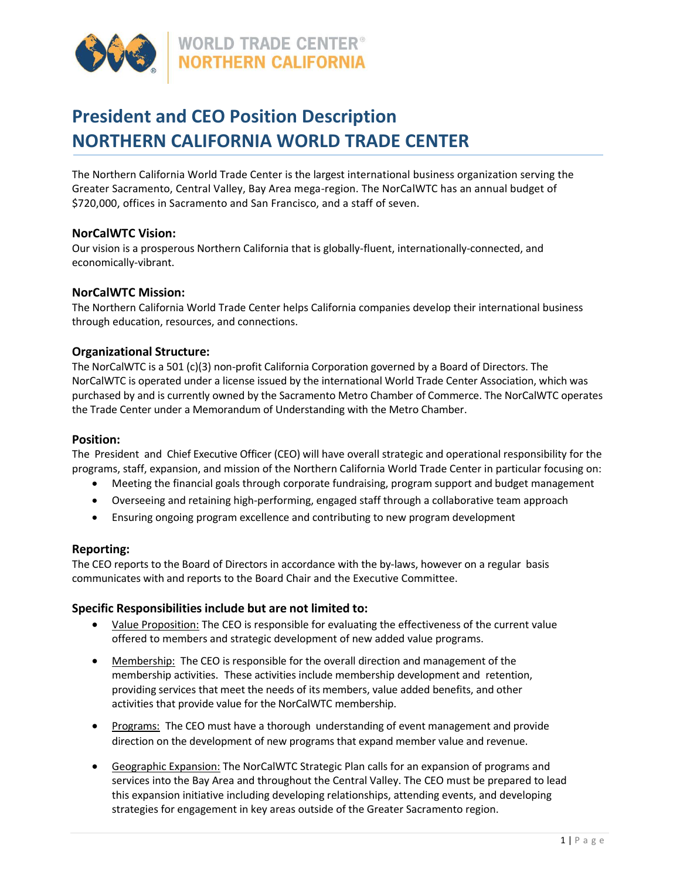

# **President and CEO Position Description NORTHERN CALIFORNIA WORLD TRADE CENTER**

The Northern California World Trade Center is the largest international business organization serving the Greater Sacramento, Central Valley, Bay Area mega-region. The NorCalWTC has an annual budget of \$720,000, offices in Sacramento and San Francisco, and a staff of seven.

# **NorCalWTC Vision:**

Our vision is a prosperous Northern California that is globally-fluent, internationally-connected, and economically-vibrant.

# **NorCalWTC Mission:**

The Northern California World Trade Center helps California companies develop their international business through education, resources, and connections.

# **Organizational Structure:**

The NorCalWTC is a 501 (c)(3) non-profit California Corporation governed by a Board of Directors. The NorCalWTC is operated under a license issued by the international World Trade Center Association, which was purchased by and is currently owned by the Sacramento Metro Chamber of Commerce. The NorCalWTC operates the Trade Center under a Memorandum of Understanding with the Metro Chamber.

### **Position:**

The President and Chief Executive Officer (CEO) will have overall strategic and operational responsibility for the programs, staff, expansion, and mission of the Northern California World Trade Center in particular focusing on:

- Meeting the financial goals through corporate fundraising, program support and budget management
- Overseeing and retaining high-performing, engaged staff through a collaborative team approach
- Ensuring ongoing program excellence and contributing to new program development

# **Reporting:**

The CEO reports to the Board of Directors in accordance with the by-laws, however on a regular basis communicates with and reports to the Board Chair and the Executive Committee.

# **Specific Responsibilities include but are not limited to:**

- Value Proposition: The CEO is responsible for evaluating the effectiveness of the current value offered to members and strategic development of new added value programs.
- Membership: The CEO is responsible for the overall direction and management of the membership activities. These activities include membership development and retention, providing services that meet the needs of its members, value added benefits, and other activities that provide value for the NorCalWTC membership.
- Programs: The CEO must have a thorough understanding of event management and provide direction on the development of new programs that expand member value and revenue.
- Geographic Expansion: The NorCalWTC Strategic Plan calls for an expansion of programs and services into the Bay Area and throughout the Central Valley. The CEO must be prepared to lead this expansion initiative including developing relationships, attending events, and developing strategies for engagement in key areas outside of the Greater Sacramento region.